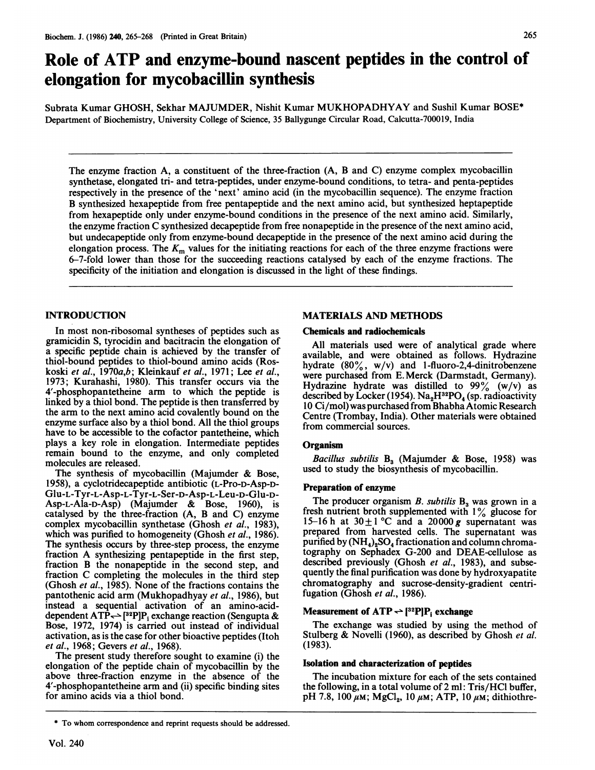# Role of ATP and enzyme-bound nascent peptides in the control of elongation for mycobacillin synthesis

Subrata Kumar GHOSH, Sekhar MAJUMDER, Nishit Kumar MUKHOPADHYAY and Sushil Kumar BOSE\* Department of Biochemistry, University College of Science, 35 Ballygunge Circular Road, Calcutta-700019, India

The enzyme fraction A, a constituent of the three-fraction (A, B and C) enzyme complex mycobacillin synthetase, elongated tri- and tetra-peptides, under enzyme-bound conditions, to tetra- and penta-peptides respectively in the presence of the 'next' amino acid (in the mycobacillin sequence). The enzyme fraction B synthesized hexapeptide from free pentapeptide and the next amino acid, but synthesized heptapeptide from hexapeptide only under enzyme-bound conditions in the presence of the next amino acid. Similarly, the enzyme fraction C synthesized decapeptide from free nonapeptide in the presence of the next amino acid, but undecapeptide only from enzyme-bound decapeptide in the presence of the next amino acid during the elongation process. The  $K<sub>m</sub>$  values for the initiating reactions for each of the three enzyme fractions were 6-7-fold lower than those for the succeeding reactions catalysed by each of the enzyme fractions. The specificity of the initiation and elongation is discussed in the light of these findings.

# INTRODUCTION

In most non-ribosomal syntheses of peptides such as gramicidin S, tyrocidin and bacitracin the elongation of a specific peptide chain is achieved by the transfer of thiol-bound peptides to thiol-bound amino acids (Roskoski et al., 1970a,b; Kleinkauf et al., 1971; Lee et al., 1973; Kurahashi, 1980). This transfer occurs via the 4'-phosphopantetheine arm to which the peptide is linked by a thiol bond. The peptide is then transferred by the arm to the next amino acid covalently bound on the enzyme surface also by a thiol bond. All the thiol groups have to be accessible to the cofactor pantetheine, which plays a key role in elongation. Intermediate peptides remain bound to the enzyme, and only completed molecules are released.

The synthesis of mycobacillin (Majumder & Bose, 1958), a cyclotridecapeptide antibiotic (L-Pro-D-Asp-D-Glu-L-Tyr-L-Asp-L-Tyr-L-Ser-D-Asp-L-Leu-D-Glu-D-Asp-L-Ala-D-Asp) (Majumder & Bose, 1960), is catalysed by the three-fraction (A, B and C) enzyme complex mycobacillin synthetase (Ghosh et al., 1983), which was purified to homogeneity (Ghosh et al., 1986). The synthesis occurs by three-step process, the enzyme fraction A synthesizing pentapeptide in the first step, fraction B the nonapeptide in the second step, and fraction C completing the molecules in the third step (Ghosh et al., 1985). None of the fractions contains the pantothenic acid arm (Mukhopadhyay et al., 1986), but instead a sequential activation of an amino-acid-<br>dependent ATP<sub>5</sub> (<sup>32</sup>P]P<sub>1</sub> exchange reaction (Sengupta & Bose, 1972, 1974) is carried out instead of individual activation, as is the case for other bioactive peptides (Itoh et al., 1968; Gevers et al., 1968).

The present study therefore sought to examine (i) the elongation of the peptide chain of mycobacillin by the above three-fraction enzyme in the absence of the 4'-phosphopantetheine arm and (ii) specific binding sites for amino acids via a thiol bond.

### \* To whom correspondence and reprint requests should be addressed.

## MATERIALS AND METHODS

#### Chemicals and radiochemicals

All materials used were of analytical grade where available, and were obtained as follows. Hydrazine hydrate  $(80\%, w/v)$  and 1-fluoro-2,4-dinitrobenzene were purchased from E. Merck (Darmstadt, Germany). Hydrazine hydrate was distilled to  $99\%$  (w/v) as described by Locker (1954). Na<sub>2</sub>H<sup>32</sup>PO<sub>4</sub> (sp. radioactivity 10 Ci/mol) was purchased from Bhabha Atomic Research Centre (Trombay, India). Other materials were obtained from commercial sources.

## **Organism**

Bacillus subtilis  $B_3$  (Majumder & Bose, 1958) was used to study the biosynthesis of mycobacillin.

## Preparation of enzyme

The producer organism  $B$ . subtilis  $B_3$  was grown in a fresh nutrient broth supplemented with  $1\%$  glucose for 15-16 h at  $30 \pm 1$  °C and a 20000 g supernatant was prepared from harvested cells. The supernatant was purified by  $(NH_4)_2SO_4$  fractionation and column chromatography on Sephadex G-200 and DEAE-cellulose as described previously (Ghosh et al., 1983), and subsequently the final purification was done by hydroxyapatite chromatography and sucrose-density-gradient centrifugation (Ghosh et al., 1986).

# Measurement of  $ATP \rightarrow$  [<sup>32</sup>P]P<sub>i</sub> exchange

The exchange was studied by using the method of Stulberg & Novelli (1960), as described by Ghosh et al. (1983).

#### Isolation and characterization of peptides

The incubation mixture for each of the sets contained the following, in a total volume of 2 ml: Tris/HCl buffer, pH 7.8, 100  $\mu$ M; MgCl<sub>2</sub>, 10  $\mu$ M; ATP, 10  $\mu$ M; dithiothre-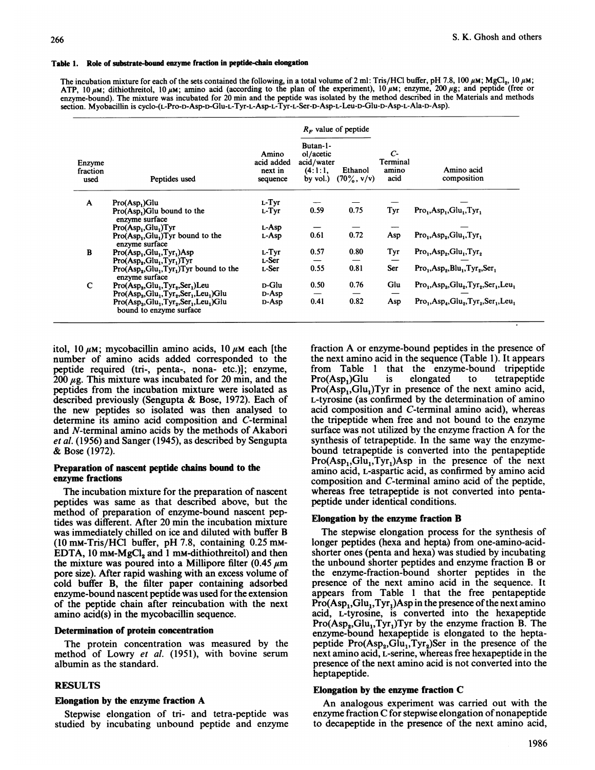#### Table 1. Role of substrate-bound enzyme fraction in peptide-chain elongation

The incubation mixture for each of the sets contained the following, in a total volume of 2 ml: Tris/HCl buffer, pH 7.8, 100  $\mu$ M; MgCl<sub>2</sub>, 10  $\mu$ M; ATP, 10  $\mu$ M; dithiothreitol, 10  $\mu$ M; amino acid (according to the plan of the experiment), 10  $\mu$ M; enzyme, 200  $\mu$ g; and peptide (free or enzyme-bound). The mixture was incubated for 20 min and the peptide was isolated by the method described in the Materials and methods section. Myobacillin is cyclo-(L-Pro-D-Asp-D-Glu-L-Tyr-L-Asp-L-Tyr-L-Ser-D-Asp-L-Leu-D-Glu-D-Asp-L-Ala-D-Asp).

|                            |                                                                                                   | $R_F$ value of peptide                     |                                                            |                          |                                            |                                            |
|----------------------------|---------------------------------------------------------------------------------------------------|--------------------------------------------|------------------------------------------------------------|--------------------------|--------------------------------------------|--------------------------------------------|
| Enzyme<br>fraction<br>used | Peptides used                                                                                     | Amino<br>acid added<br>next in<br>sequence | Butan-1-<br>ol/acetic<br>acid/water<br>(4:1:1,<br>by vol.) | Ethanol<br>$(70\%, v/v)$ | $\mathcal{C}$<br>Terminal<br>amino<br>acid | Amino acid<br>composition                  |
| $\mathbf{A}$               | Pro(Asp <sub>1</sub> )Glu                                                                         | L-Tyr                                      |                                                            |                          |                                            |                                            |
|                            | Pro(Asp.)Glu bound to the<br>enzyme surface                                                       | L-Tyr                                      | 0.59                                                       | 0.75                     | Tyr                                        | $Pro1, Asp1, Glu1, Tyr1$                   |
|                            | Pro(Asp <sub>1</sub> ,Glu <sub>1</sub> )Tyr                                                       | L-Asp                                      |                                                            |                          |                                            |                                            |
|                            | $Pro(Asp_1, Glu_1)$ Tyr bound to the<br>enzyme surface                                            | L-Asp                                      | 0.61                                                       | 0.72                     | Asp                                        | $Pro1, Asp2, Glu1, Tyr1$                   |
| B                          | $Pro(Asp1, Glu1, Tyr1)Asp$                                                                        | L-Tyr                                      | 0.57                                                       | 0.80                     | Tyr                                        | $Pro1, Asp2, Glu1, Tyr2$                   |
|                            | Pro(Asp <sub>2</sub> , Glu <sub>1</sub> , Tyr <sub>1</sub> )Tyr                                   | L-Ser                                      |                                                            |                          |                                            |                                            |
|                            | $Pro(Asp2, Glu1, Tyr1)$ Tyr bound to the<br>enzyme surface                                        | L-Ser                                      | 0.55                                                       | 0.81                     | Ser                                        | $Pro_1, Asp_2, Blu_1, Tyr_2, Ser_1$        |
| $\mathbf C$                | $Pro(Asp_3, Glu_1, Tyr_2, Ser_1)$ Leu                                                             | <b>D-Glu</b>                               | 0.50                                                       | 0.76                     | Glu                                        | $Pro_1, Asp_3, Glu_2, Tyr_2, Ser_1, Leu_1$ |
|                            | Pro(Asp <sub>a</sub> ,Glu <sub>1</sub> ,Tyr <sub>2</sub> ,Ser <sub>1</sub> ,Leu <sub>1</sub> )Glu | D-Asp                                      |                                                            |                          |                                            |                                            |
|                            | $Pro(Asp_3, Glu_1, Tyr_2, Ser_1, Leu_1) Glu$<br>bound to enzyme surface                           | D-Asp                                      | 0.41                                                       | 0.82                     | Asp                                        | $Pro1, Asp4, Glu2, Tyr2, Ser1, Leu1$       |

itol, 10  $\mu$ M; mycobacillin amino acids, 10  $\mu$ M each [the number of amino acids added corresponded to the peptide required (tri-, penta-, nona- etc.)]; enzyme, 200  $\mu$ g. This mixture was incubated for 20 min, and the peptides from the incubation mixture were isolated as described previously (Sengupta & Bose, 1972). Each of the new peptides so isolated was then analysed to determine its amino acid composition and C-terminal and N-terminal amino acids by the methods of Akabori et al. (1956) and Sanger (1945), as described by Sengupta & Bose (1972).

## Preparation of nascent peptide chains bound to the enzyme fractions

The incubation mixture for the preparation of nascent peptides was same as that described above, but the method of preparation of enzyme-bound nascent peptides was different. After 20 min the incubation mixture was immediately chilled on ice and diluted with buffer B (10 mM-Tris/HCl buffer, pH 7.8, containing 0.25 mM-EDTA, 10 mm- $MgCl<sub>2</sub>$  and 1 mm-dithiothreitol) and then the mixture was poured into a Millipore filter (0.45  $\mu$ m pore size). After rapid washing with an excess volume of cold buffer B, the filter paper containing adsorbed enzyme-bound nascent peptide was used for the extension of the peptide chain after reincubation with the next amino acid(s) in the mycobacillin sequence.

#### Determination of protein concentration

The protein concentration was measured by the method of Lowry et al. (1951), with bovine serum albumin as the standard.

## RESULTS

## Elongation by the enzyme fraction A

Stepwise elongation of tri- and tetra-peptide was studied by incubating unbound peptide and enzyme fraction A or enzyme-bound peptides in the presence of the next amino acid in the sequence (Table 1). It appears from Table <sup>1</sup> that the enzyme-bound tripeptide  $\text{Pro}(\text{Asp}_1)\text{Glu}$  is elongated to tetrapeptide  $Pro(Asp_1, Glu_1)$ Tyr in presence of the next amino acid, L-tyrosine (as confirmed by the determination of amino acid composition and C-terminal amino acid), whereas the tripeptide when free and not bound to the enzyme surface was not utilized by the enzyme fraction A for the synthesis of tetrapeptide. In the same way the enzymebound tetrapeptide is converted into the pentapeptide  $Pro(Asp_1, Glu_1, Tyr_1)$ Asp in the presence of the next amino acid, L-aspartic acid, as confirmed by amino acid composition and C-terminal amino acid of the peptide, whereas free tetrapeptide is not converted into pentapeptide under identical conditions.

## Elongation by the enzyme fraction B

The stepwise elongation process for the synthesis of longer peptides (hexa and hepta) from one-amino-acidshorter ones (penta and hexa) was studied by incubating the unbound shorter peptides and enzyme fraction B or the enzyme-fraction-bound shorter peptides in the presence of the next amino acid in the sequence. It appears from Table <sup>1</sup> that the free pentapeptide  $Pro(Asp_1, Glu_1, Tyr_1) Asp in the presence of the next amino$ acid, L-tyrosine, is converted into the hexapeptide  $Pro(Asp<sub>2</sub>,Glu<sub>1</sub>, Tyr<sub>1</sub>)Tyr$  by the enzyme fraction B. The enzyme-bound hexapeptide is elongated to the heptapeptide  $Pro(Asp_2, Glu_1, Tyr_2)$ Ser in the presence of the next amino acid, L-serine, whereas free hexapeptide in the presence of the next amino acid is not converted into the heptapeptide.

## Elongation by the enzyme fraction C

An analogous experiment was carried out with the enzyme fraction C for stepwise elongation of nonapeptide to decapeptide in'the presence of the next amino acid,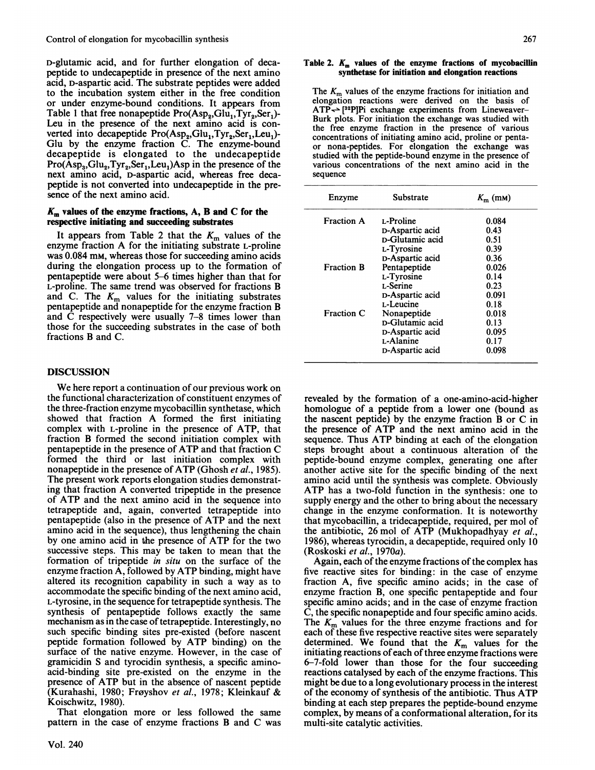D-glutamic acid, and for further elongation of decapeptide to undecapeptide in presence of the next amino acid, D-aspartic acid. The substrate peptides were added to the incubation system either in the free condition or under enzyme-bound conditions. It appears from Table 1 that free nonapeptide  $Pro(Asp_2, Glu_1, Tyr_2, Ser_1)$ -Leu in the presence of the next amino acid is converted into decapeptide  $Pro(Asp_2, Glu_1, Iyr_2, Ser_1, Leu_1)$ -Glu by the enzyme fraction C. The enzyme-bound decapeptide is elongated to the undecapeptide  $Pro(Asp_3, Glu_2, Tyr_2, Ser_1, Leu_1) Asp in the presence of the$ next amino acid, D-aspartic acid, whereas free decapeptide is not converted into undecapeptide in the presence of the next amino acid.

## $K<sub>m</sub>$  values of the enzyme fractions, A, B and C for the respective initiating and succeeding substrates

It appears from Table 2 that the  $K<sub>m</sub>$  values of the enzyme fraction A for the initiating substrate L-proline was 0.084 mm, whereas those for succeeding amino acids during the elongation process up to the formation of pentapeptide were about 5-6 times higher than that for L-proline. The same trend was observed for fractions B and C. The  $K<sub>m</sub>$  values for the initiating substrates pentapeptide and nonapeptide for the enzyme fraction B and C respectively were usually 7-8 times lower than those for the succeeding substrates in the case of both fractions B and C.

# DISCUSSION

We here report <sup>a</sup> continuation of our previous work on the functional characterization of constituent enzymes of the three-fraction enzyme mycobacillin synthetase, which showed that fraction A formed the first initiating complex with L-proline in the presence of ATP, that fraction B formed the second initiation complex with pentapeptide in the presence of ATP and that fraction C formed the third or last initiation complex with nonapeptide in the presence of ATP (Ghosh et al., 1985). The present work reports elongation studies demonstrating that fraction A converted tripeptide in the presence of ATP and the next amino acid in the sequence into tetrapeptide and, again, converted tetrapeptide into pentapeptide (also in the presence of ATP and the next amino acid in the sequence), thus lengthening the chain by one amino acid in the presence of ATP for the two successive steps. This may be taken to mean that the formation of tripeptide in situ on the surface of the enzyme fraction  $\overline{A}$ , followed by ATP binding, might have altered its recognition capability in such a way as to accommodate the specific binding of the next amino acid, L-tyrosine, in the sequence for tetrapeptide synthesis. The synthesis of pentapeptide follows exactly the same mechanism as in the case of tetrapeptide. Interestingly, no such specific binding sites pre-existed (before nascent peptide formation followed by ATP binding) on the surface of the native enzyme. However, in the case of gramicidin S and tyrocidin synthesis, a specific aminoacid-binding site pre-existed on the enzyme in the presence of ATP but in the absence of nascent peptide (Kurahashi, 1980; Frøyshov et al., 1978; Kleinkauf & Koischwitz, 1980).

That elongation more or less followed the same pattern in the case of enzyme fractions B and C was

#### Table 2.  $K_m$  values of the enzyme fractions of mycobacillin synthetase for initiation and elongation reactions

The  $K<sub>m</sub>$  values of the enzyme fractions for initiation and elongation reactions were derived on the basis of  $ATP \leftarrow$  [32P]Pi exchange experiments from Lineweaver-Burk plots. For initiation the exchange was studied with the free enzyme fraction in the presence of various concentrations of initiating amino acid, proline or pentaor nona-peptides. For elongation the exchange was studied with the peptide-bound enzyme in the presence of various concentrations of the next amino acid in the sequence

| Enzyme            | Substrate              | $K_{\rm m}$ (mm) |  |
|-------------------|------------------------|------------------|--|
| <b>Fraction A</b> | L-Proline              | 0.084            |  |
|                   | D-Aspartic acid        | 0.43             |  |
|                   | <b>D-Glutamic acid</b> | 0.51             |  |
|                   | L-Tyrosine             | 0.39             |  |
|                   | D-Aspartic acid        | 0.36             |  |
| <b>Fraction B</b> | Pentapeptide           | 0.026            |  |
|                   | L-Tyrosine             | 0.14             |  |
|                   | L-Serine               | 0.23             |  |
|                   | D-Aspartic acid        | 0.091            |  |
|                   | L-Leucine              | 0.18             |  |
| Fraction C        | Nonapeptide            | 0.018            |  |
|                   | p-Glutamic acid        | 0.13             |  |
|                   | D-Aspartic acid        | 0.095            |  |
|                   | L-Alanine              | 0.17             |  |
|                   | D-Aspartic acid        | 0.098            |  |

revealed by the formation of a one-amino-acid-higher homologue of a peptide from a lower one (bound as the nascent peptide) by the enzyme fraction B or C in the presence of ATP and the next amino acid in the sequence. Thus ATP binding at each of the elongation steps brought about a continuous alteration of the peptide-bound enzyme complex, generating one after another active site for the specific binding of the next amino acid until the synthesis was complete. Obviously ATP has <sup>a</sup> two-fold- function in the synthesis: one to supply energy and the other to bring about the necessary change in the enzyme conformation. It is noteworthy that mycobacillin, a tridecapeptide, required, per mol of the antibiotic, 26 mol of ATP (Mukhopadhyay et al., 1986), whereas tyrocidin, a decapeptide, required only 10 (Roskoski et al., 1970a).

Again, each of the enzyme fractions of the complex has five reactive sites for binding: in the case of enzyme fraction A, five specific amino acids; in the case of enzyme fraction B, one specific pentapeptide and four specific amino acids; and in the case of enzyme fraction C, the specific nonapeptide and four specific amino acids. The  $K<sub>m</sub>$  values for the three enzyme fractions and for each of these five respective reactive sites were separately determined. We found that the  $K<sub>m</sub>$  values for the initiating reactions of each of three enzyme fractions were 6-7-fold lower than those for the four succeeding reactions catalysed by each of the enzyme fractions. This might be due to a long evolutionary process in the interest of the economy of synthesis of the antibiotic. Thus ATP binding at each step prepares the peptide-bound enzyme complex, by means of a conformational alteration, for its multi-site catalytic activities.